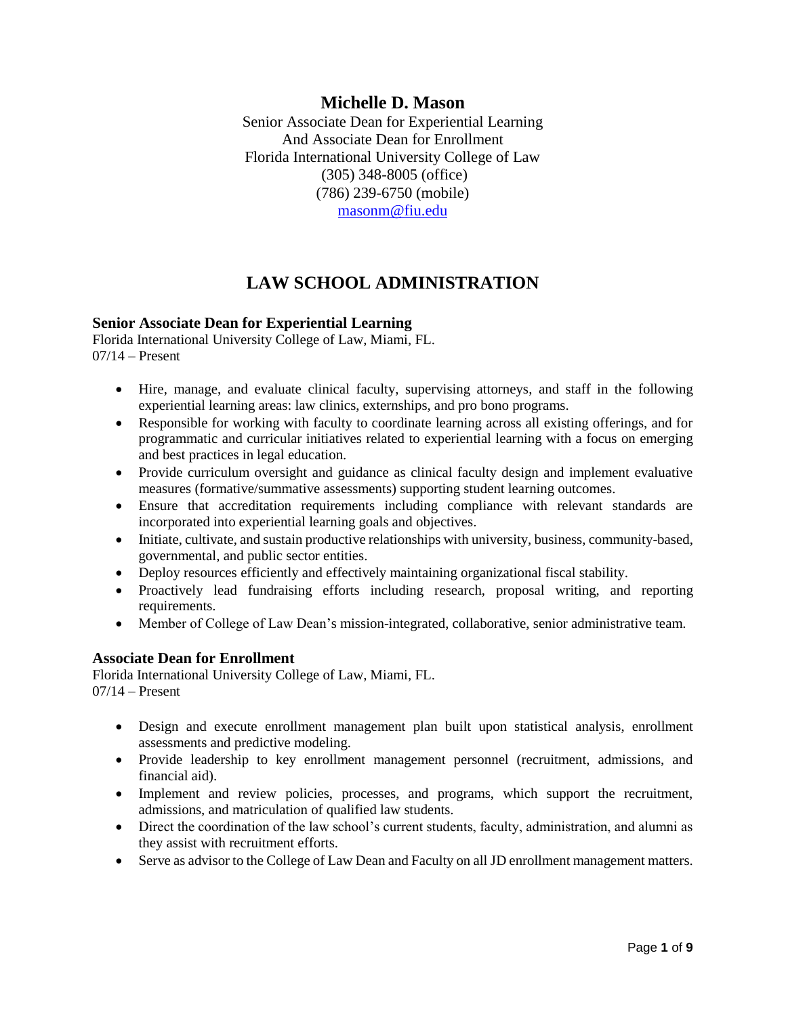## **Michelle D. Mason**

Senior Associate Dean for Experiential Learning And Associate Dean for Enrollment Florida International University College of Law (305) 348-8005 (office) (786) 239-6750 (mobile) [masonm@fiu.edu](mailto:masonm@fiu.edu)

## **LAW SCHOOL ADMINISTRATION**

### **Senior Associate Dean for Experiential Learning**

Florida International University College of Law, Miami, FL.  $07/14$  – Present

- Hire, manage, and evaluate clinical faculty, supervising attorneys, and staff in the following experiential learning areas: law clinics, externships, and pro bono programs.
- Responsible for working with faculty to coordinate learning across all existing offerings, and for programmatic and curricular initiatives related to experiential learning with a focus on emerging and best practices in legal education.
- Provide curriculum oversight and guidance as clinical faculty design and implement evaluative measures (formative/summative assessments) supporting student learning outcomes.
- Ensure that accreditation requirements including compliance with relevant standards are incorporated into experiential learning goals and objectives.
- Initiate, cultivate, and sustain productive relationships with university, business, community-based, governmental, and public sector entities.
- Deploy resources efficiently and effectively maintaining organizational fiscal stability.
- Proactively lead fundraising efforts including research, proposal writing, and reporting requirements.
- Member of College of Law Dean's mission-integrated, collaborative, senior administrative team.

### **Associate Dean for Enrollment**

Florida International University College of Law, Miami, FL.  $07/14$  – Present

- Design and execute enrollment management plan built upon statistical analysis, enrollment assessments and predictive modeling.
- Provide leadership to key enrollment management personnel (recruitment, admissions, and financial aid).
- Implement and review policies, processes, and programs, which support the recruitment, admissions, and matriculation of qualified law students.
- Direct the coordination of the law school's current students, faculty, administration, and alumni as they assist with recruitment efforts.
- Serve as advisor to the College of Law Dean and Faculty on all JD enrollment management matters.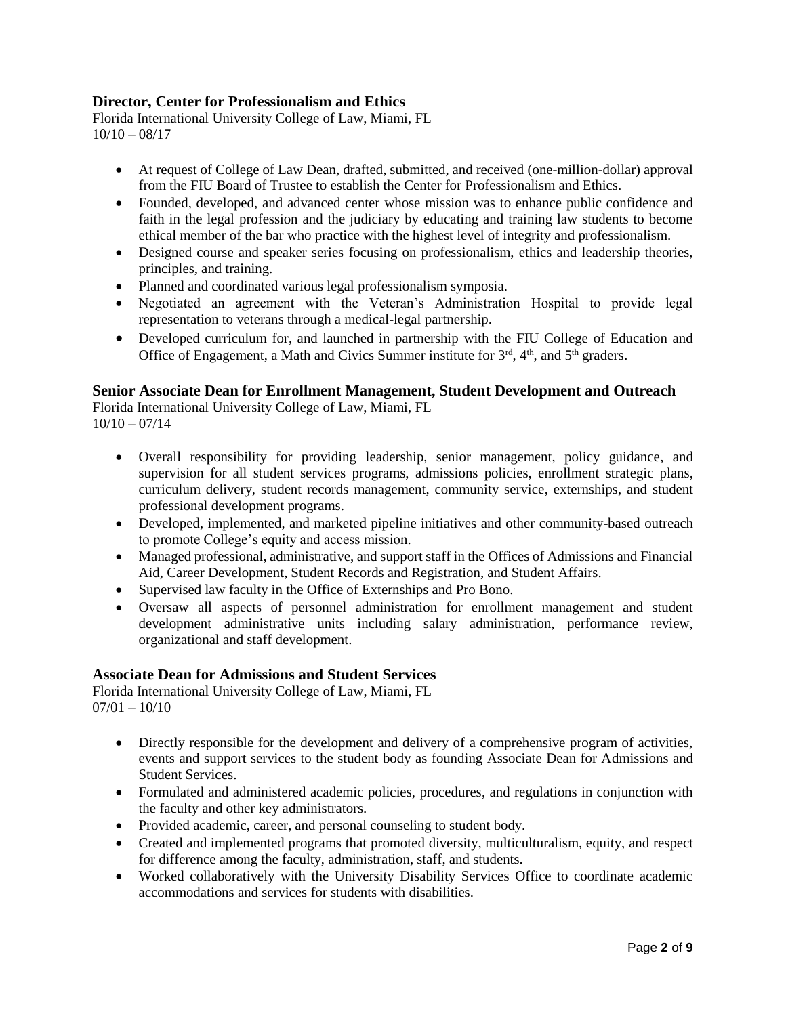## **Director, Center for Professionalism and Ethics**

Florida International University College of Law, Miami, FL  $10/10 - 08/17$ 

- At request of College of Law Dean, drafted, submitted, and received (one-million-dollar) approval from the FIU Board of Trustee to establish the Center for Professionalism and Ethics.
- Founded, developed, and advanced center whose mission was to enhance public confidence and faith in the legal profession and the judiciary by educating and training law students to become ethical member of the bar who practice with the highest level of integrity and professionalism.
- Designed course and speaker series focusing on professionalism, ethics and leadership theories, principles, and training.
- Planned and coordinated various legal professionalism symposia.
- Negotiated an agreement with the Veteran's Administration Hospital to provide legal representation to veterans through a medical-legal partnership.
- Developed curriculum for, and launched in partnership with the FIU College of Education and Office of Engagement, a Math and Civics Summer institute for  $3<sup>rd</sup>$ ,  $4<sup>th</sup>$ , and  $5<sup>th</sup>$  graders.

## **Senior Associate Dean for Enrollment Management, Student Development and Outreach**

Florida International University College of Law, Miami, FL  $10/10 - 07/14$ 

- Overall responsibility for providing leadership, senior management, policy guidance, and supervision for all student services programs, admissions policies, enrollment strategic plans, curriculum delivery, student records management, community service, externships, and student professional development programs.
- Developed, implemented, and marketed pipeline initiatives and other community-based outreach to promote College's equity and access mission.
- Managed professional, administrative, and support staff in the Offices of Admissions and Financial Aid, Career Development, Student Records and Registration, and Student Affairs.
- Supervised law faculty in the Office of Externships and Pro Bono.
- Oversaw all aspects of personnel administration for enrollment management and student development administrative units including salary administration, performance review, organizational and staff development.

### **Associate Dean for Admissions and Student Services**

Florida International University College of Law, Miami, FL  $07/01 - 10/10$ 

- Directly responsible for the development and delivery of a comprehensive program of activities, events and support services to the student body as founding Associate Dean for Admissions and Student Services.
- Formulated and administered academic policies, procedures, and regulations in conjunction with the faculty and other key administrators.
- Provided academic, career, and personal counseling to student body.
- Created and implemented programs that promoted diversity, multiculturalism, equity, and respect for difference among the faculty, administration, staff, and students.
- Worked collaboratively with the University Disability Services Office to coordinate academic accommodations and services for students with disabilities.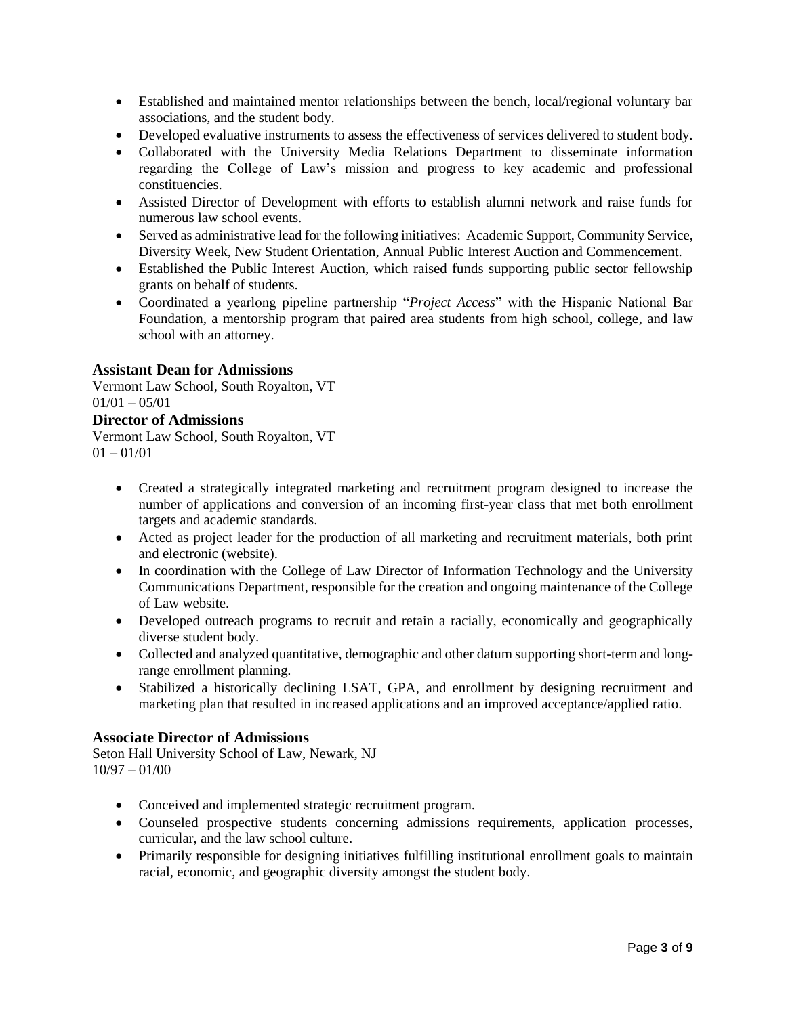- Established and maintained mentor relationships between the bench, local/regional voluntary bar associations, and the student body.
- Developed evaluative instruments to assess the effectiveness of services delivered to student body.
- Collaborated with the University Media Relations Department to disseminate information regarding the College of Law's mission and progress to key academic and professional constituencies.
- Assisted Director of Development with efforts to establish alumni network and raise funds for numerous law school events.
- Served as administrative lead for the following initiatives: Academic Support, Community Service, Diversity Week, New Student Orientation, Annual Public Interest Auction and Commencement.
- Established the Public Interest Auction, which raised funds supporting public sector fellowship grants on behalf of students.
- Coordinated a yearlong pipeline partnership "*Project Access*" with the Hispanic National Bar Foundation, a mentorship program that paired area students from high school, college, and law school with an attorney.

### **Assistant Dean for Admissions**

Vermont Law School, South Royalton, VT  $01/01 - 05/01$ 

### **Director of Admissions**

Vermont Law School, South Royalton, VT  $01 - 01/01$ 

- Created a strategically integrated marketing and recruitment program designed to increase the number of applications and conversion of an incoming first-year class that met both enrollment targets and academic standards.
- Acted as project leader for the production of all marketing and recruitment materials, both print and electronic (website).
- In coordination with the College of Law Director of Information Technology and the University Communications Department, responsible for the creation and ongoing maintenance of the College of Law website.
- Developed outreach programs to recruit and retain a racially, economically and geographically diverse student body.
- Collected and analyzed quantitative, demographic and other datum supporting short-term and longrange enrollment planning.
- Stabilized a historically declining LSAT, GPA, and enrollment by designing recruitment and marketing plan that resulted in increased applications and an improved acceptance/applied ratio.

### **Associate Director of Admissions**

Seton Hall University School of Law, Newark, NJ 10/97 – 01/00

- Conceived and implemented strategic recruitment program.
- Counseled prospective students concerning admissions requirements, application processes, curricular, and the law school culture.
- Primarily responsible for designing initiatives fulfilling institutional enrollment goals to maintain racial, economic, and geographic diversity amongst the student body.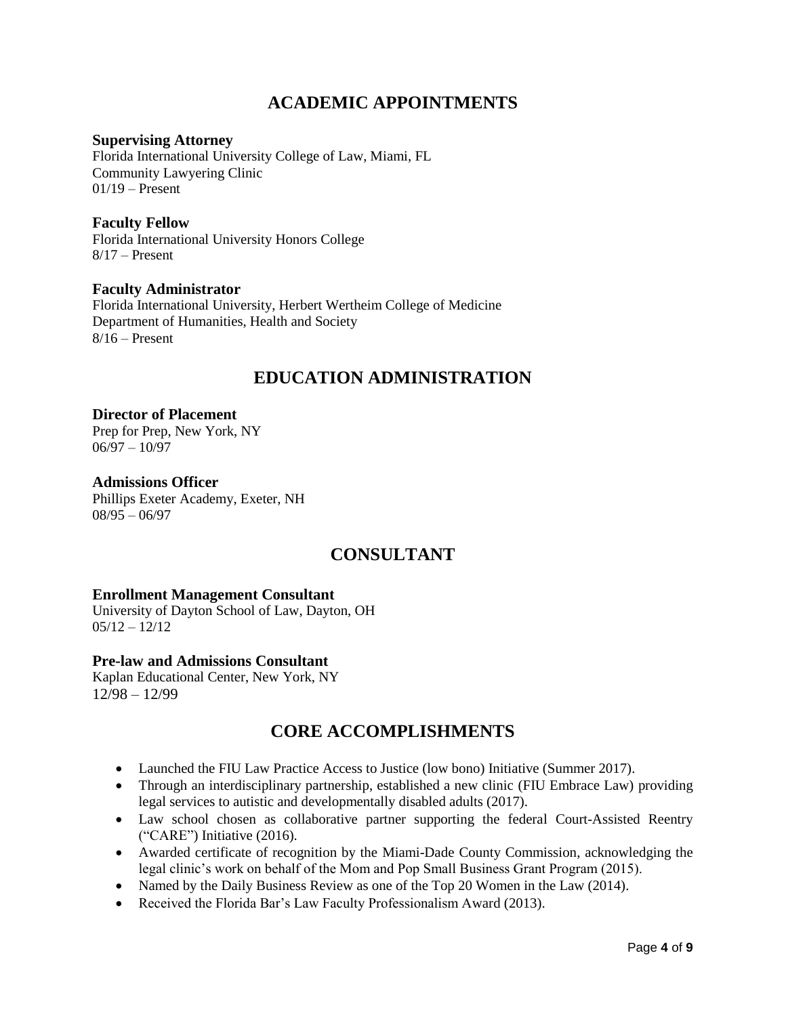## **ACADEMIC APPOINTMENTS**

### **Supervising Attorney**

Florida International University College of Law, Miami, FL Community Lawyering Clinic  $01/19$  – Present

### **Faculty Fellow**

Florida International University Honors College  $8/17$  – Present

### **Faculty Administrator**

Florida International University, Herbert Wertheim College of Medicine Department of Humanities, Health and Society  $8/16$  – Present

## **EDUCATION ADMINISTRATION**

#### **Director of Placement** Prep for Prep, New York, NY  $06/97 - 10/97$

**Admissions Officer** Phillips Exeter Academy, Exeter, NH 08/95 – 06/97

## **CONSULTANT**

## **Enrollment Management Consultant**

University of Dayton School of Law, Dayton, OH  $05/12 - 12/12$ 

### **Pre-law and Admissions Consultant**

Kaplan Educational Center, New York, NY 12/98 – 12/99

## **CORE ACCOMPLISHMENTS**

- Launched the FIU Law Practice Access to Justice (low bono) Initiative (Summer 2017).
- Through an interdisciplinary partnership, established a new clinic (FIU Embrace Law) providing legal services to autistic and developmentally disabled adults (2017).
- Law school chosen as collaborative partner supporting the federal Court-Assisted Reentry ("CARE") Initiative (2016).
- Awarded certificate of recognition by the Miami-Dade County Commission, acknowledging the legal clinic's work on behalf of the Mom and Pop Small Business Grant Program (2015).
- Named by the Daily Business Review as one of the Top 20 Women in the Law (2014).
- Received the Florida Bar's Law Faculty Professionalism Award (2013).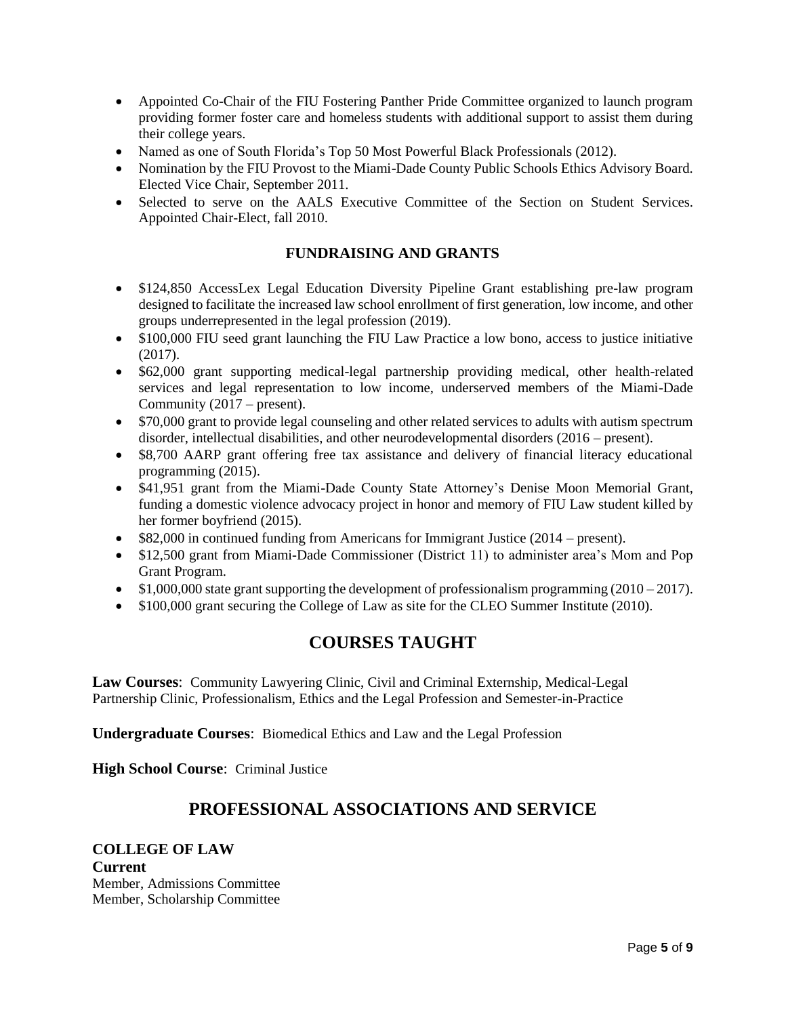- Appointed Co-Chair of the FIU Fostering Panther Pride Committee organized to launch program providing former foster care and homeless students with additional support to assist them during their college years.
- Named as one of South Florida's Top 50 Most Powerful Black Professionals (2012).
- Nomination by the FIU Provost to the Miami-Dade County Public Schools Ethics Advisory Board. Elected Vice Chair, September 2011.
- Selected to serve on the AALS Executive Committee of the Section on Student Services. Appointed Chair-Elect, fall 2010.

## **FUNDRAISING AND GRANTS**

- \$124,850 AccessLex Legal Education Diversity Pipeline Grant establishing pre-law program designed to facilitate the increased law school enrollment of first generation, low income, and other groups underrepresented in the legal profession (2019).
- \$100,000 FIU seed grant launching the FIU Law Practice a low bono, access to justice initiative (2017).
- \$62,000 grant supporting medical-legal partnership providing medical, other health-related services and legal representation to low income, underserved members of the Miami-Dade Community (2017 – present).
- \$70,000 grant to provide legal counseling and other related services to adults with autism spectrum disorder, intellectual disabilities, and other neurodevelopmental disorders (2016 – present).
- \$8,700 AARP grant offering free tax assistance and delivery of financial literacy educational programming (2015).
- \$41,951 grant from the Miami-Dade County State Attorney's Denise Moon Memorial Grant, funding a domestic violence advocacy project in honor and memory of FIU Law student killed by her former boyfriend (2015).
- $\bullet$  \$82,000 in continued funding from Americans for Immigrant Justice (2014 present).
- \$12,500 grant from Miami-Dade Commissioner (District 11) to administer area's Mom and Pop Grant Program.
- $\bullet$  \$1,000,000 state grant supporting the development of professionalism programming (2010 2017).
- \$100,000 grant securing the College of Law as site for the CLEO Summer Institute (2010).

## **COURSES TAUGHT**

**Law Courses**: Community Lawyering Clinic, Civil and Criminal Externship, Medical-Legal Partnership Clinic, Professionalism, Ethics and the Legal Profession and Semester-in-Practice

**Undergraduate Courses**: Biomedical Ethics and Law and the Legal Profession

**High School Course**: Criminal Justice

## **PROFESSIONAL ASSOCIATIONS AND SERVICE**

### **COLLEGE OF LAW Current** Member, Admissions Committee Member, Scholarship Committee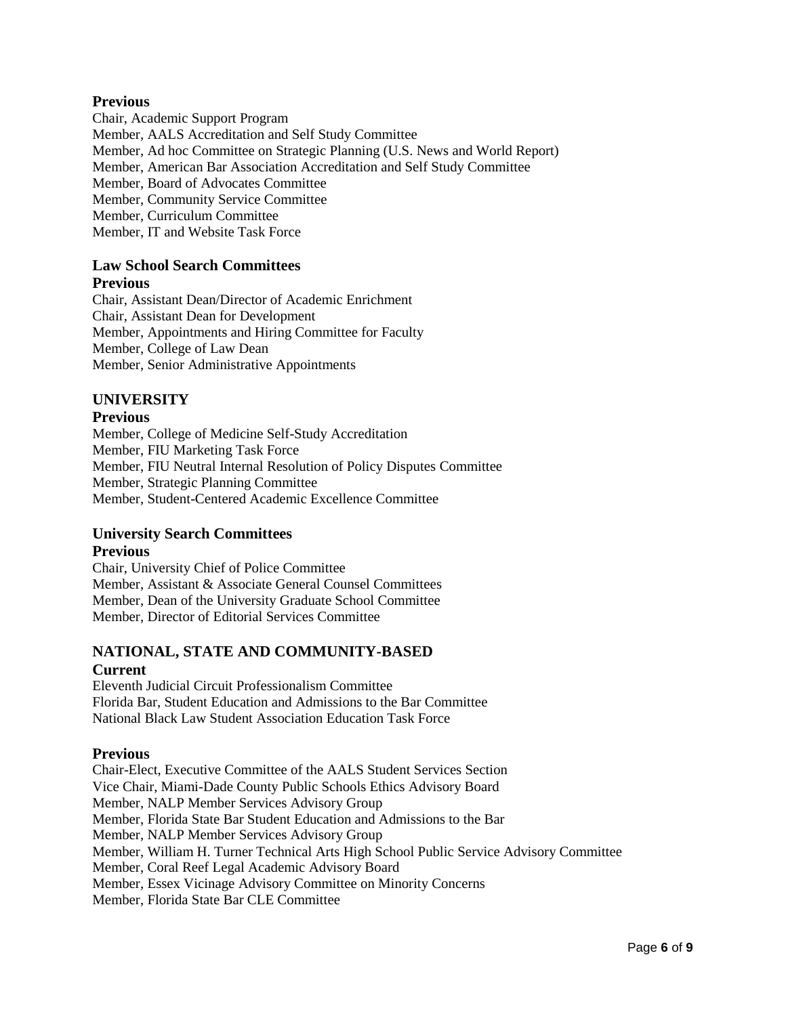### **Previous**

Chair, Academic Support Program Member, AALS Accreditation and Self Study Committee Member, Ad hoc Committee on Strategic Planning (U.S. News and World Report) Member, American Bar Association Accreditation and Self Study Committee Member, Board of Advocates Committee Member, Community Service Committee Member, Curriculum Committee Member, IT and Website Task Force

### **Law School Search Committees**

#### **Previous**

Chair, Assistant Dean/Director of Academic Enrichment Chair, Assistant Dean for Development Member, Appointments and Hiring Committee for Faculty Member, College of Law Dean Member, Senior Administrative Appointments

### **UNIVERSITY**

#### **Previous**

Member, College of Medicine Self-Study Accreditation Member, FIU Marketing Task Force Member, FIU Neutral Internal Resolution of Policy Disputes Committee Member, Strategic Planning Committee Member, Student-Centered Academic Excellence Committee

## **University Search Committees**

### **Previous**

Chair, University Chief of Police Committee Member, Assistant & Associate General Counsel Committees Member, Dean of the University Graduate School Committee Member, Director of Editorial Services Committee

## **NATIONAL, STATE AND COMMUNITY-BASED Current**

Eleventh Judicial Circuit Professionalism Committee Florida Bar, Student Education and Admissions to the Bar Committee National Black Law Student Association Education Task Force

### **Previous**

Chair-Elect, Executive Committee of the AALS Student Services Section Vice Chair, Miami-Dade County Public Schools Ethics Advisory Board Member, NALP Member Services Advisory Group Member, Florida State Bar Student Education and Admissions to the Bar Member, NALP Member Services Advisory Group Member, William H. Turner Technical Arts High School Public Service Advisory Committee Member, Coral Reef Legal Academic Advisory Board Member, Essex Vicinage Advisory Committee on Minority Concerns Member, Florida State Bar CLE Committee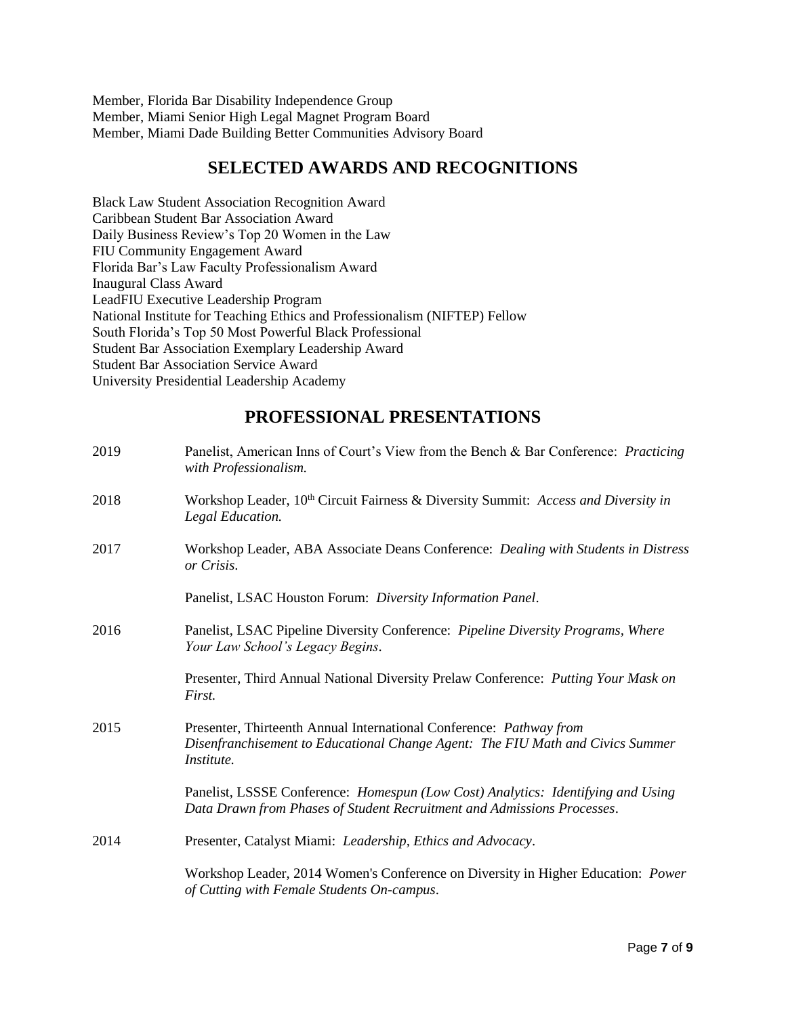Member, Florida Bar Disability Independence Group Member, Miami Senior High Legal Magnet Program Board Member, Miami Dade Building Better Communities Advisory Board

## **SELECTED AWARDS AND RECOGNITIONS**

Black Law Student Association Recognition Award Caribbean Student Bar Association Award Daily Business Review's Top 20 Women in the Law FIU Community Engagement Award Florida Bar's Law Faculty Professionalism Award Inaugural Class Award LeadFIU Executive Leadership Program National Institute for Teaching Ethics and Professionalism (NIFTEP) Fellow South Florida's Top 50 Most Powerful Black Professional Student Bar Association Exemplary Leadership Award Student Bar Association Service Award University Presidential Leadership Academy

## **PROFESSIONAL PRESENTATIONS**

| Panelist, American Inns of Court's View from the Bench & Bar Conference: Practicing<br>with Professionalism.                                                        |
|---------------------------------------------------------------------------------------------------------------------------------------------------------------------|
| Workshop Leader, 10 <sup>th</sup> Circuit Fairness & Diversity Summit: Access and Diversity in<br>Legal Education.                                                  |
| Workshop Leader, ABA Associate Deans Conference: Dealing with Students in Distress<br>or Crisis.                                                                    |
| Panelist, LSAC Houston Forum: Diversity Information Panel.                                                                                                          |
| Panelist, LSAC Pipeline Diversity Conference: Pipeline Diversity Programs, Where<br>Your Law School's Legacy Begins.                                                |
| Presenter, Third Annual National Diversity Prelaw Conference: Putting Your Mask on<br>First.                                                                        |
| Presenter, Thirteenth Annual International Conference: Pathway from<br>Disenfranchisement to Educational Change Agent: The FIU Math and Civics Summer<br>Institute. |
| Panelist, LSSSE Conference: Homespun (Low Cost) Analytics: Identifying and Using<br>Data Drawn from Phases of Student Recruitment and Admissions Processes.         |
| Presenter, Catalyst Miami: Leadership, Ethics and Advocacy.                                                                                                         |
| Workshop Leader, 2014 Women's Conference on Diversity in Higher Education: Power<br>of Cutting with Female Students On-campus.                                      |
|                                                                                                                                                                     |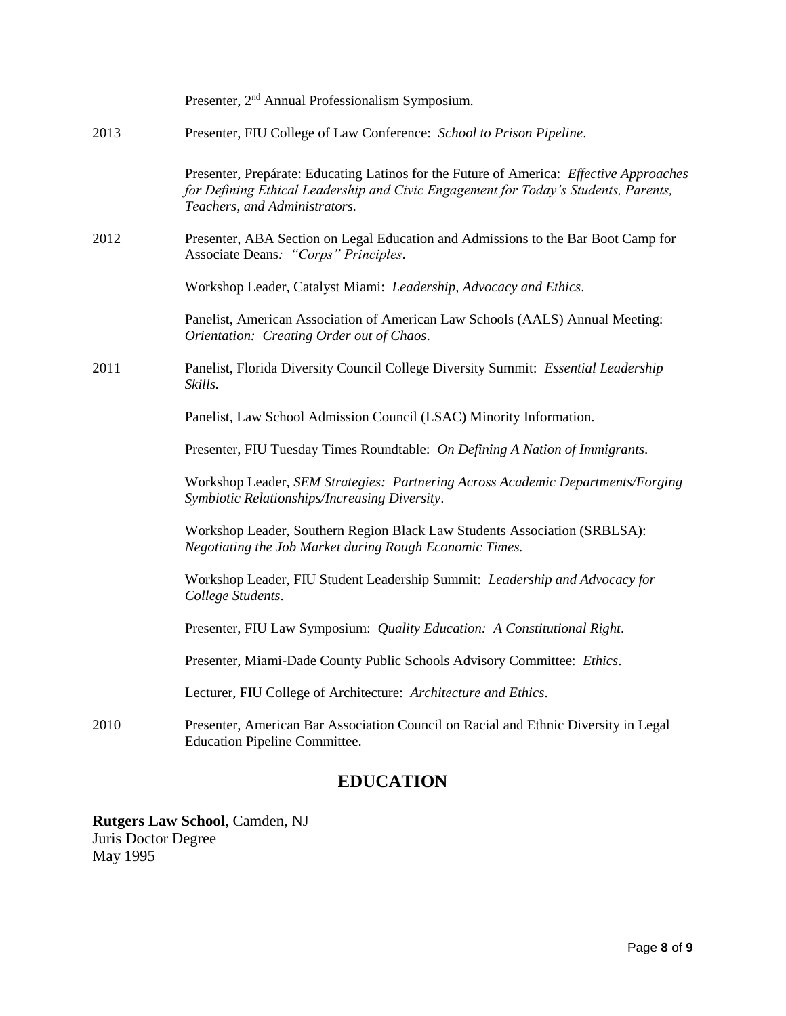|      | Presenter, 2 <sup>nd</sup> Annual Professionalism Symposium.                                                                                                                                                    |
|------|-----------------------------------------------------------------------------------------------------------------------------------------------------------------------------------------------------------------|
| 2013 | Presenter, FIU College of Law Conference: School to Prison Pipeline.                                                                                                                                            |
|      | Presenter, Prepárate: Educating Latinos for the Future of America: Effective Approaches<br>for Defining Ethical Leadership and Civic Engagement for Today's Students, Parents,<br>Teachers, and Administrators. |
| 2012 | Presenter, ABA Section on Legal Education and Admissions to the Bar Boot Camp for<br>Associate Deans: "Corps" Principles.                                                                                       |
|      | Workshop Leader, Catalyst Miami: Leadership, Advocacy and Ethics.                                                                                                                                               |
|      | Panelist, American Association of American Law Schools (AALS) Annual Meeting:<br>Orientation: Creating Order out of Chaos.                                                                                      |
| 2011 | Panelist, Florida Diversity Council College Diversity Summit: Essential Leadership<br>Skills.                                                                                                                   |
|      | Panelist, Law School Admission Council (LSAC) Minority Information.                                                                                                                                             |
|      | Presenter, FIU Tuesday Times Roundtable: On Defining A Nation of Immigrants.                                                                                                                                    |
|      | Workshop Leader, SEM Strategies: Partnering Across Academic Departments/Forging<br>Symbiotic Relationships/Increasing Diversity.                                                                                |
|      | Workshop Leader, Southern Region Black Law Students Association (SRBLSA):<br>Negotiating the Job Market during Rough Economic Times.                                                                            |
|      | Workshop Leader, FIU Student Leadership Summit: Leadership and Advocacy for<br>College Students.                                                                                                                |
|      | Presenter, FIU Law Symposium: Quality Education: A Constitutional Right.                                                                                                                                        |
|      | Presenter, Miami-Dade County Public Schools Advisory Committee: Ethics.                                                                                                                                         |
|      | Lecturer, FIU College of Architecture: Architecture and Ethics.                                                                                                                                                 |
| 2010 | Presenter, American Bar Association Council on Racial and Ethnic Diversity in Legal<br><b>Education Pipeline Committee.</b>                                                                                     |

# **EDUCATION**

## **Rutgers Law School**, Camden, NJ Juris Doctor Degree May 1995